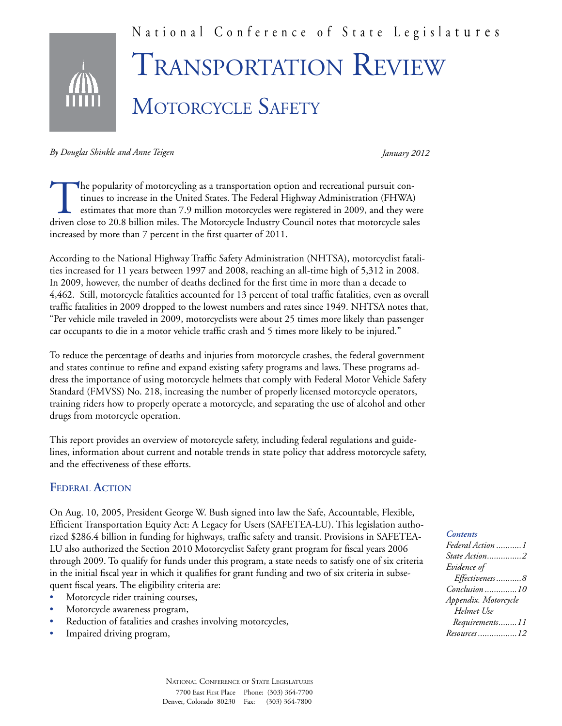

*By Douglas Shinkle and Anne Teigen* 

*January 2012*

The popularity of motorcycling as a transportation option and recreational pursuit continues to increase in the United States. The Federal Highway Administration (FHWA) estimates that more than 7.9 million motorcycles were registered in 2009, and they were driven close to 20.8 billion miles. The Motorcycle Industry Council notes that motorcycle sales increased by more than 7 percent in the first quarter of 2011.

According to the National Highway Traffic Safety Administration (NHTSA), motorcyclist fatalities increased for 11 years between 1997 and 2008, reaching an all-time high of 5,312 in 2008. In 2009, however, the number of deaths declined for the first time in more than a decade to 4,462. Still, motorcycle fatalities accounted for 13 percent of total traffic fatalities, even as overall traffic fatalities in 2009 dropped to the lowest numbers and rates since 1949. NHTSA notes that, "Per vehicle mile traveled in 2009, motorcyclists were about 25 times more likely than passenger car occupants to die in a motor vehicle traffic crash and 5 times more likely to be injured."

To reduce the percentage of deaths and injuries from motorcycle crashes, the federal government and states continue to refine and expand existing safety programs and laws. These programs address the importance of using motorcycle helmets that comply with Federal Motor Vehicle Safety Standard (FMVSS) No. 218, increasing the number of properly licensed motorcycle operators, training riders how to properly operate a motorcycle, and separating the use of alcohol and other drugs from motorcycle operation.

This report provides an overview of motorcycle safety, including federal regulations and guidelines, information about current and notable trends in state policy that address motorcycle safety, and the effectiveness of these efforts.

### **Federal Action**

On Aug. 10, 2005, President George W. Bush signed into law the Safe, Accountable, Flexible, Efficient Transportation Equity Act: A Legacy for Users (SAFETEA-LU). This legislation authorized \$286.4 billion in funding for highways, traffic safety and transit. Provisions in SAFETEA-LU also authorized the Section 2010 Motorcyclist Safety grant program for fiscal years 2006 through 2009. To qualify for funds under this program, a state needs to satisfy one of six criteria in the initial fiscal year in which it qualifies for grant funding and two of six criteria in subsequent fiscal years. The eligibility criteria are:

- Motorcycle rider training courses,
- Motorcycle awareness program,
- Reduction of fatalities and crashes involving motorcycles,
- Impaired driving program,

#### *Contents*

| Federal Action 1     |
|----------------------|
| State Action2        |
| Evidence of          |
| Effectiveness8       |
| Conclusion 10        |
| Appendix. Motorcycle |
| Helmet Use           |
| Requirements11       |
| Resources 12         |
|                      |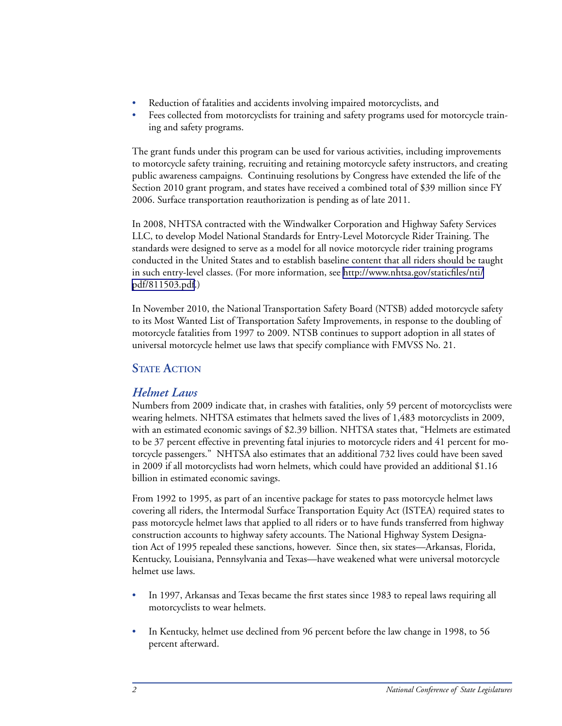- Reduction of fatalities and accidents involving impaired motorcyclists, and
- Fees collected from motorcyclists for training and safety programs used for motorcycle training and safety programs.

The grant funds under this program can be used for various activities, including improvements to motorcycle safety training, recruiting and retaining motorcycle safety instructors, and creating public awareness campaigns. Continuing resolutions by Congress have extended the life of the Section 2010 grant program, and states have received a combined total of \$39 million since FY 2006. Surface transportation reauthorization is pending as of late 2011.

In 2008, NHTSA contracted with the Windwalker Corporation and Highway Safety Services LLC, to develop Model National Standards for Entry-Level Motorcycle Rider Training. The standards were designed to serve as a model for all novice motorcycle rider training programs conducted in the United States and to establish baseline content that all riders should be taught in such entry-level classes. (For more information, see [http://www.nhtsa.gov/staticfiles/nti/](http://www.nhtsa.gov/staticfiles/nti/pdf/811503.pdf) [pdf/811503.pdf.](http://www.nhtsa.gov/staticfiles/nti/pdf/811503.pdf))

In November 2010, the National Transportation Safety Board (NTSB) added motorcycle safety to its Most Wanted List of Transportation Safety Improvements, in response to the doubling of motorcycle fatalities from 1997 to 2009. NTSB continues to support adoption in all states of universal motorcycle helmet use laws that specify compliance with FMVSS No. 21.

## **STATE ACTION**

### *Helmet Laws*

Numbers from 2009 indicate that, in crashes with fatalities, only 59 percent of motorcyclists were wearing helmets. NHTSA estimates that helmets saved the lives of 1,483 motorcyclists in 2009, with an estimated economic savings of \$2.39 billion. NHTSA states that, "Helmets are estimated to be 37 percent effective in preventing fatal injuries to motorcycle riders and 41 percent for motorcycle passengers." NHTSA also estimates that an additional 732 lives could have been saved in 2009 if all motorcyclists had worn helmets, which could have provided an additional \$1.16 billion in estimated economic savings.

From 1992 to 1995, as part of an incentive package for states to pass motorcycle helmet laws covering all riders, the Intermodal Surface Transportation Equity Act (ISTEA) required states to pass motorcycle helmet laws that applied to all riders or to have funds transferred from highway construction accounts to highway safety accounts. The National Highway System Designation Act of 1995 repealed these sanctions, however. Since then, six states—Arkansas, Florida, Kentucky, Louisiana, Pennsylvania and Texas—have weakened what were universal motorcycle helmet use laws.

- In 1997, Arkansas and Texas became the first states since 1983 to repeal laws requiring all motorcyclists to wear helmets.
- In Kentucky, helmet use declined from 96 percent before the law change in 1998, to 56 percent afterward.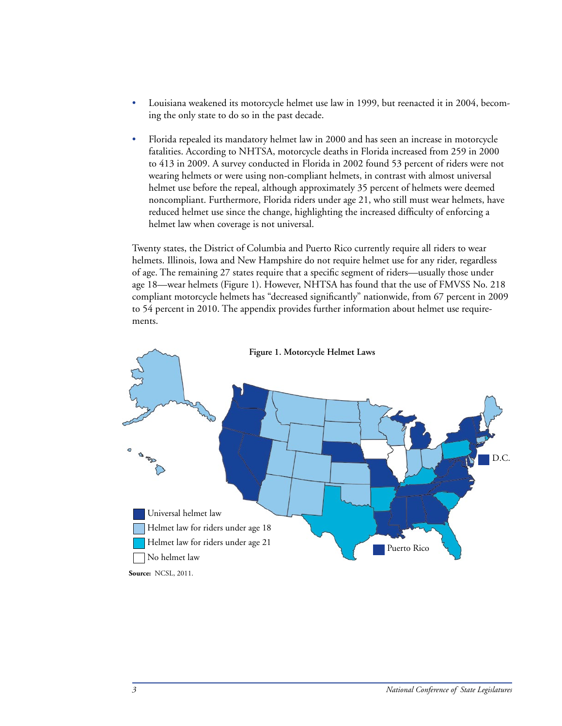- Louisiana weakened its motorcycle helmet use law in 1999, but reenacted it in 2004, becoming the only state to do so in the past decade.
- Florida repealed its mandatory helmet law in 2000 and has seen an increase in motorcycle fatalities. According to NHTSA, motorcycle deaths in Florida increased from 259 in 2000 to 413 in 2009. A survey conducted in Florida in 2002 found 53 percent of riders were not wearing helmets or were using non-compliant helmets, in contrast with almost universal helmet use before the repeal, although approximately 35 percent of helmets were deemed noncompliant. Furthermore, Florida riders under age 21, who still must wear helmets, have reduced helmet use since the change, highlighting the increased difficulty of enforcing a helmet law when coverage is not universal.

Twenty states, the District of Columbia and Puerto Rico currently require all riders to wear helmets. Illinois, Iowa and New Hampshire do not require helmet use for any rider, regardless of age. The remaining 27 states require that a specific segment of riders—usually those under age 18—wear helmets (Figure 1). However, NHTSA has found that the use of FMVSS No. 218 compliant motorcycle helmets has "decreased significantly" nationwide, from 67 percent in 2009 to 54 percent in 2010. The appendix provides further information about helmet use requirements.

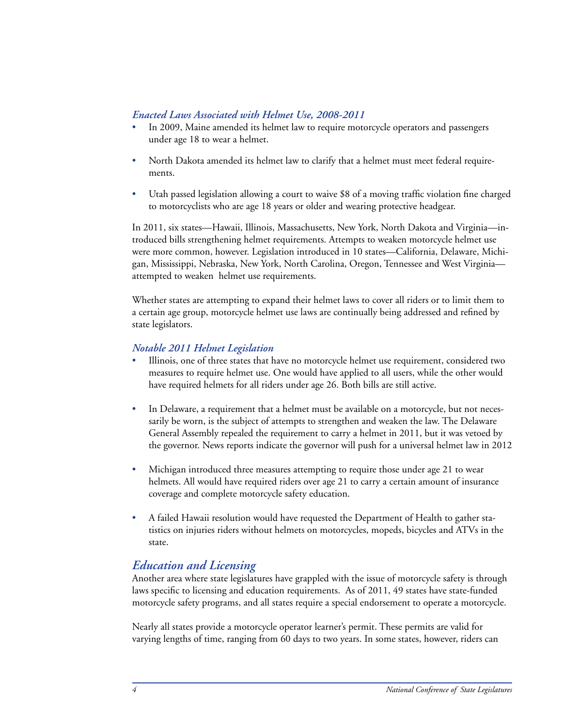### *Enacted Laws Associated with Helmet Use, 2008-2011*

- In 2009, Maine amended its helmet law to require motorcycle operators and passengers under age 18 to wear a helmet.
- North Dakota amended its helmet law to clarify that a helmet must meet federal requirements.
- Utah passed legislation allowing a court to waive \$8 of a moving traffic violation fine charged to motorcyclists who are age 18 years or older and wearing protective headgear.

In 2011, six states—Hawaii, Illinois, Massachusetts, New York, North Dakota and Virginia—introduced bills strengthening helmet requirements. Attempts to weaken motorcycle helmet use were more common, however. Legislation introduced in 10 states—California, Delaware, Michigan, Mississippi, Nebraska, New York, North Carolina, Oregon, Tennessee and West Virginia attempted to weaken helmet use requirements.

Whether states are attempting to expand their helmet laws to cover all riders or to limit them to a certain age group, motorcycle helmet use laws are continually being addressed and refined by state legislators.

### *Notable 2011 Helmet Legislation*

- Illinois, one of three states that have no motorcycle helmet use requirement, considered two measures to require helmet use. One would have applied to all users, while the other would have required helmets for all riders under age 26. Both bills are still active.
- In Delaware, a requirement that a helmet must be available on a motorcycle, but not necessarily be worn, is the subject of attempts to strengthen and weaken the law. The Delaware General Assembly repealed the requirement to carry a helmet in 2011, but it was vetoed by the governor. News reports indicate the governor will push for a universal helmet law in 2012
- Michigan introduced three measures attempting to require those under age 21 to wear helmets. All would have required riders over age 21 to carry a certain amount of insurance coverage and complete motorcycle safety education.
- A failed Hawaii resolution would have requested the Department of Health to gather statistics on injuries riders without helmets on motorcycles, mopeds, bicycles and ATVs in the state.

## *Education and Licensing*

Another area where state legislatures have grappled with the issue of motorcycle safety is through laws specific to licensing and education requirements. As of 2011, 49 states have state-funded motorcycle safety programs, and all states require a special endorsement to operate a motorcycle.

Nearly all states provide a motorcycle operator learner's permit. These permits are valid for varying lengths of time, ranging from 60 days to two years. In some states, however, riders can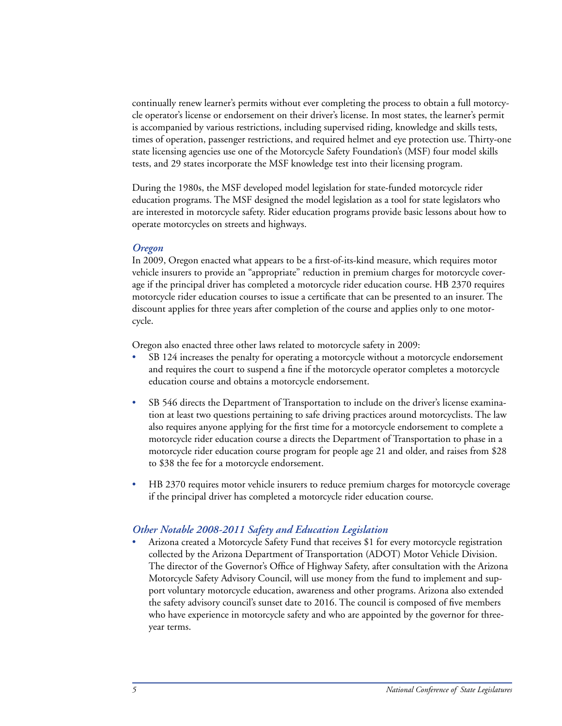continually renew learner's permits without ever completing the process to obtain a full motorcycle operator's license or endorsement on their driver's license. In most states, the learner's permit is accompanied by various restrictions, including supervised riding, knowledge and skills tests, times of operation, passenger restrictions, and required helmet and eye protection use. Thirty-one state licensing agencies use one of the Motorcycle Safety Foundation's (MSF) four model skills tests, and 29 states incorporate the MSF knowledge test into their licensing program.

During the 1980s, the MSF developed model legislation for state-funded motorcycle rider education programs. The MSF designed the model legislation as a tool for state legislators who are interested in motorcycle safety. Rider education programs provide basic lessons about how to operate motorcycles on streets and highways.

### *Oregon*

In 2009, Oregon enacted what appears to be a first-of-its-kind measure, which requires motor vehicle insurers to provide an "appropriate" reduction in premium charges for motorcycle coverage if the principal driver has completed a motorcycle rider education course. HB 2370 requires motorcycle rider education courses to issue a certificate that can be presented to an insurer. The discount applies for three years after completion of the course and applies only to one motorcycle.

Oregon also enacted three other laws related to motorcycle safety in 2009:

- SB 124 increases the penalty for operating a motorcycle without a motorcycle endorsement and requires the court to suspend a fine if the motorcycle operator completes a motorcycle education course and obtains a motorcycle endorsement.
- SB 546 directs the Department of Transportation to include on the driver's license examination at least two questions pertaining to safe driving practices around motorcyclists. The law also requires anyone applying for the first time for a motorcycle endorsement to complete a motorcycle rider education course a directs the Department of Transportation to phase in a motorcycle rider education course program for people age 21 and older, and raises from \$28 to \$38 the fee for a motorcycle endorsement.
- HB 2370 requires motor vehicle insurers to reduce premium charges for motorcycle coverage if the principal driver has completed a motorcycle rider education course.

### *Other Notable 2008-2011 Safety and Education Legislation*

Arizona created a Motorcycle Safety Fund that receives \$1 for every motorcycle registration collected by the Arizona Department of Transportation (ADOT) Motor Vehicle Division. The director of the Governor's Office of Highway Safety, after consultation with the Arizona Motorcycle Safety Advisory Council, will use money from the fund to implement and support voluntary motorcycle education, awareness and other programs. Arizona also extended the safety advisory council's sunset date to 2016. The council is composed of five members who have experience in motorcycle safety and who are appointed by the governor for threeyear terms.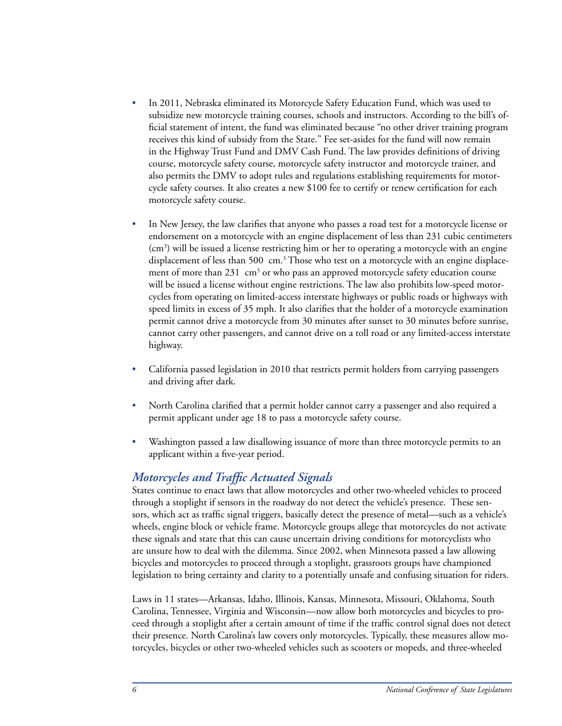- In 2011, Nebraska eliminated its Motorcycle Safety Education Fund, which was used to subsidize new motorcycle training courses, schools and instructors. According to the bill's official statement of intent, the fund was eliminated because "no other driver training program receives this kind of subsidy from the State." Fee set-asides for the fund will now remain in the Highway Trust Fund and DMV Cash Fund. The law provides definitions of driving course, motorcycle safety course, motorcycle safety instructor and motorcycle trainer, and also permits the DMV to adopt rules and regulations establishing requirements for motorcycle safety courses. It also creates a new \$100 fee to certify or renew certification for each motorcycle safety course.
- In New Jersey, the law clarifies that anyone who passes a road test for a motorcycle license or endorsement on a motorcycle with an engine displacement of less than 231 cubic centimeters (cm<sup>3</sup>) will be issued a license restricting him or her to operating a motorcycle with an engine displacement of less than 500  $\,$  cm.<sup>3</sup> Those who test on a motorcycle with an engine displacement of more than  $231$  cm<sup>3</sup> or who pass an approved motorcycle safety education course will be issued a license without engine restrictions. The law also prohibits low-speed motorcycles from operating on limited-access interstate highways or public roads or highways with speed limits in excess of 35 mph. It also clarifies that the holder of a motorcycle examination permit cannot drive a motorcycle from 30 minutes after sunset to 30 minutes before sunrise, cannot carry other passengers, and cannot drive on a toll road or any limited-access interstate highway.
- California passed legislation in 2010 that restricts permit holders from carrying passengers and driving after dark.
- North Carolina clarified that a permit holder cannot carry a passenger and also required a permit applicant under age 18 to pass a motorcycle safety course.
- Washington passed a law disallowing issuance of more than three motorcycle permits to an applicant within a five-year period.

## *Motorcycles and Traffic Actuated Signals*

States continue to enact laws that allow motorcycles and other two-wheeled vehicles to proceed through a stoplight if sensors in the roadway do not detect the vehicle's presence. These sensors, which act as traffic signal triggers, basically detect the presence of metal—such as a vehicle's wheels, engine block or vehicle frame. Motorcycle groups allege that motorcycles do not activate these signals and state that this can cause uncertain driving conditions for motorcyclists who are unsure how to deal with the dilemma. Since 2002, when Minnesota passed a law allowing bicycles and motorcycles to proceed through a stoplight, grassroots groups have championed legislation to bring certainty and clarity to a potentially unsafe and confusing situation for riders.

Laws in 11 states—Arkansas, Idaho, Illinois, Kansas, Minnesota, Missouri, Oklahoma, South Carolina, Tennessee, Virginia and Wisconsin—now allow both motorcycles and bicycles to proceed through a stoplight after a certain amount of time if the traffic control signal does not detect their presence. North Carolina's law covers only motorcycles. Typically, these measures allow motorcycles, bicycles or other two-wheeled vehicles such as scooters or mopeds, and three-wheeled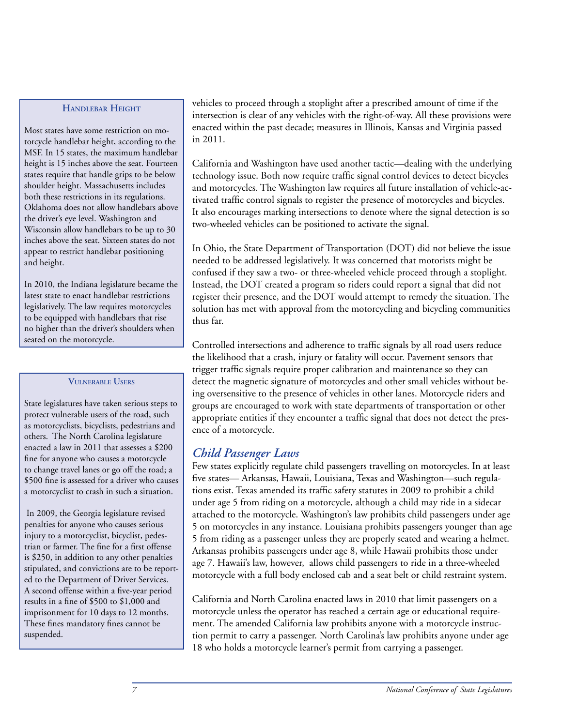### **Handlebar Height**

Most states have some restriction on motorcycle handlebar height, according to the MSF. In 15 states, the maximum handlebar height is 15 inches above the seat. Fourteen states require that handle grips to be below shoulder height. Massachusetts includes both these restrictions in its regulations. Oklahoma does not allow handlebars above the driver's eye level. Washington and Wisconsin allow handlebars to be up to 30 inches above the seat. Sixteen states do not appear to restrict handlebar positioning and height.

In 2010, the Indiana legislature became the latest state to enact handlebar restrictions legislatively. The law requires motorcycles to be equipped with handlebars that rise no higher than the driver's shoulders when seated on the motorcycle.

#### **Vulnerable Users**

State legislatures have taken serious steps to protect vulnerable users of the road, such as motorcyclists, bicyclists, pedestrians and others. The North Carolina legislature enacted a law in 2011 that assesses a \$200 fine for anyone who causes a motorcycle to change travel lanes or go off the road; a \$500 fine is assessed for a driver who causes a motorcyclist to crash in such a situation.

In 2009, the Georgia legislature revised penalties for anyone who causes serious injury to a motorcyclist, bicyclist, pedestrian or farmer. The fine for a first offense is \$250, in addition to any other penalties stipulated, and convictions are to be reported to the Department of Driver Services. A second offense within a five-year period results in a fine of \$500 to \$1,000 and imprisonment for 10 days to 12 months. These fines mandatory fines cannot be suspended.

vehicles to proceed through a stoplight after a prescribed amount of time if the intersection is clear of any vehicles with the right-of-way. All these provisions were enacted within the past decade; measures in Illinois, Kansas and Virginia passed in 2011.

California and Washington have used another tactic—dealing with the underlying technology issue. Both now require traffic signal control devices to detect bicycles and motorcycles. The Washington law requires all future installation of vehicle-activated traffic control signals to register the presence of motorcycles and bicycles. It also encourages marking intersections to denote where the signal detection is so two-wheeled vehicles can be positioned to activate the signal.

In Ohio, the State Department of Transportation (DOT) did not believe the issue needed to be addressed legislatively. It was concerned that motorists might be confused if they saw a two- or three-wheeled vehicle proceed through a stoplight. Instead, the DOT created a program so riders could report a signal that did not register their presence, and the DOT would attempt to remedy the situation. The solution has met with approval from the motorcycling and bicycling communities thus far.

Controlled intersections and adherence to traffic signals by all road users reduce the likelihood that a crash, injury or fatality will occur. Pavement sensors that trigger traffic signals require proper calibration and maintenance so they can detect the magnetic signature of motorcycles and other small vehicles without being oversensitive to the presence of vehicles in other lanes. Motorcycle riders and groups are encouraged to work with state departments of transportation or other appropriate entities if they encounter a traffic signal that does not detect the presence of a motorcycle.

# *Child Passenger Laws*

Few states explicitly regulate child passengers travelling on motorcycles. In at least five states— Arkansas, Hawaii, Louisiana, Texas and Washington—such regulations exist. Texas amended its traffic safety statutes in 2009 to prohibit a child under age 5 from riding on a motorcycle, although a child may ride in a sidecar attached to the motorcycle. Washington's law prohibits child passengers under age 5 on motorcycles in any instance. Louisiana prohibits passengers younger than age 5 from riding as a passenger unless they are properly seated and wearing a helmet. Arkansas prohibits passengers under age 8, while Hawaii prohibits those under age 7. Hawaii's law, however, allows child passengers to ride in a three-wheeled motorcycle with a full body enclosed cab and a seat belt or child restraint system.

California and North Carolina enacted laws in 2010 that limit passengers on a motorcycle unless the operator has reached a certain age or educational requirement. The amended California law prohibits anyone with a motorcycle instruction permit to carry a passenger. North Carolina's law prohibits anyone under age 18 who holds a motorcycle learner's permit from carrying a passenger.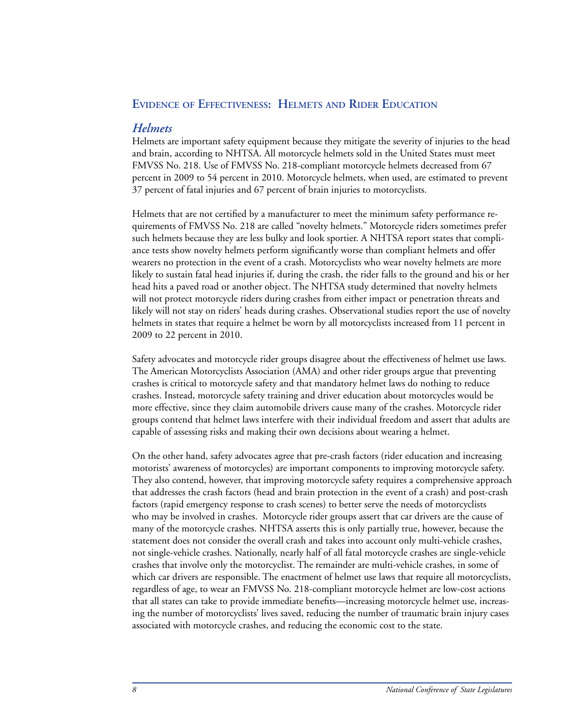### **Evidence of Effectiveness: Helmets and Rider Education**

### *Helmets*

Helmets are important safety equipment because they mitigate the severity of injuries to the head and brain, according to NHTSA. All motorcycle helmets sold in the United States must meet FMVSS No. 218. Use of FMVSS No. 218-compliant motorcycle helmets decreased from 67 percent in 2009 to 54 percent in 2010. Motorcycle helmets, when used, are estimated to prevent 37 percent of fatal injuries and 67 percent of brain injuries to motorcyclists.

Helmets that are not certified by a manufacturer to meet the minimum safety performance requirements of FMVSS No. 218 are called "novelty helmets." Motorcycle riders sometimes prefer such helmets because they are less bulky and look sportier. A NHTSA report states that compliance tests show novelty helmets perform significantly worse than compliant helmets and offer wearers no protection in the event of a crash. Motorcyclists who wear novelty helmets are more likely to sustain fatal head injuries if, during the crash, the rider falls to the ground and his or her head hits a paved road or another object. The NHTSA study determined that novelty helmets will not protect motorcycle riders during crashes from either impact or penetration threats and likely will not stay on riders' heads during crashes. Observational studies report the use of novelty helmets in states that require a helmet be worn by all motorcyclists increased from 11 percent in 2009 to 22 percent in 2010.

Safety advocates and motorcycle rider groups disagree about the effectiveness of helmet use laws. The American Motorcyclists Association (AMA) and other rider groups argue that preventing crashes is critical to motorcycle safety and that mandatory helmet laws do nothing to reduce crashes. Instead, motorcycle safety training and driver education about motorcycles would be more effective, since they claim automobile drivers cause many of the crashes. Motorcycle rider groups contend that helmet laws interfere with their individual freedom and assert that adults are capable of assessing risks and making their own decisions about wearing a helmet.

On the other hand, safety advocates agree that pre-crash factors (rider education and increasing motorists' awareness of motorcycles) are important components to improving motorcycle safety. They also contend, however, that improving motorcycle safety requires a comprehensive approach that addresses the crash factors (head and brain protection in the event of a crash) and post-crash factors (rapid emergency response to crash scenes) to better serve the needs of motorcyclists who may be involved in crashes. Motorcycle rider groups assert that car drivers are the cause of many of the motorcycle crashes. NHTSA asserts this is only partially true, however, because the statement does not consider the overall crash and takes into account only multi-vehicle crashes, not single-vehicle crashes. Nationally, nearly half of all fatal motorcycle crashes are single-vehicle crashes that involve only the motorcyclist. The remainder are multi-vehicle crashes, in some of which car drivers are responsible. The enactment of helmet use laws that require all motorcyclists, regardless of age, to wear an FMVSS No. 218-compliant motorcycle helmet are low-cost actions that all states can take to provide immediate benefits—increasing motorcycle helmet use, increasing the number of motorcyclists' lives saved, reducing the number of traumatic brain injury cases associated with motorcycle crashes, and reducing the economic cost to the state.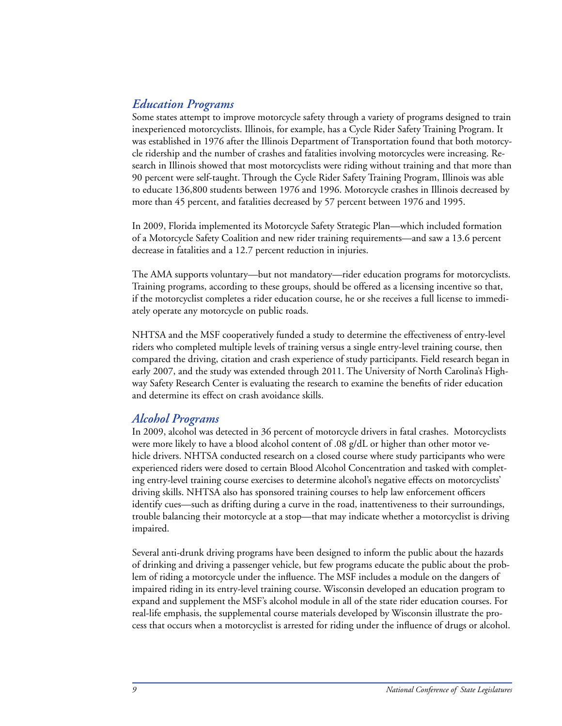## *Education Programs*

Some states attempt to improve motorcycle safety through a variety of programs designed to train inexperienced motorcyclists. Illinois, for example, has a Cycle Rider Safety Training Program. It was established in 1976 after the Illinois Department of Transportation found that both motorcycle ridership and the number of crashes and fatalities involving motorcycles were increasing. Research in Illinois showed that most motorcyclists were riding without training and that more than 90 percent were self-taught. Through the Cycle Rider Safety Training Program, Illinois was able to educate 136,800 students between 1976 and 1996. Motorcycle crashes in Illinois decreased by more than 45 percent, and fatalities decreased by 57 percent between 1976 and 1995.

In 2009, Florida implemented its Motorcycle Safety Strategic Plan—which included formation of a Motorcycle Safety Coalition and new rider training requirements—and saw a 13.6 percent decrease in fatalities and a 12.7 percent reduction in injuries.

The AMA supports voluntary—but not mandatory—rider education programs for motorcyclists. Training programs, according to these groups, should be offered as a licensing incentive so that, if the motorcyclist completes a rider education course, he or she receives a full license to immediately operate any motorcycle on public roads.

NHTSA and the MSF cooperatively funded a study to determine the effectiveness of entry-level riders who completed multiple levels of training versus a single entry-level training course, then compared the driving, citation and crash experience of study participants. Field research began in early 2007, and the study was extended through 2011. The University of North Carolina's Highway Safety Research Center is evaluating the research to examine the benefits of rider education and determine its effect on crash avoidance skills.

## *Alcohol Programs*

In 2009, alcohol was detected in 36 percent of motorcycle drivers in fatal crashes. Motorcyclists were more likely to have a blood alcohol content of .08 g/dL or higher than other motor vehicle drivers. NHTSA conducted research on a closed course where study participants who were experienced riders were dosed to certain Blood Alcohol Concentration and tasked with completing entry-level training course exercises to determine alcohol's negative effects on motorcyclists' driving skills. NHTSA also has sponsored training courses to help law enforcement officers identify cues—such as drifting during a curve in the road, inattentiveness to their surroundings, trouble balancing their motorcycle at a stop—that may indicate whether a motorcyclist is driving impaired.

Several anti-drunk driving programs have been designed to inform the public about the hazards of drinking and driving a passenger vehicle, but few programs educate the public about the problem of riding a motorcycle under the influence. The MSF includes a module on the dangers of impaired riding in its entry-level training course. Wisconsin developed an education program to expand and supplement the MSF's alcohol module in all of the state rider education courses. For real-life emphasis, the supplemental course materials developed by Wisconsin illustrate the process that occurs when a motorcyclist is arrested for riding under the influence of drugs or alcohol.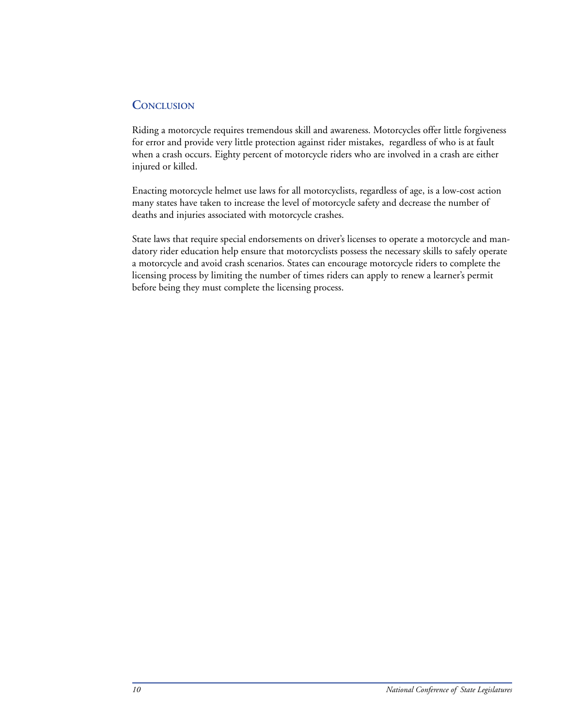## **Conclusion**

Riding a motorcycle requires tremendous skill and awareness. Motorcycles offer little forgiveness for error and provide very little protection against rider mistakes, regardless of who is at fault when a crash occurs. Eighty percent of motorcycle riders who are involved in a crash are either injured or killed.

Enacting motorcycle helmet use laws for all motorcyclists, regardless of age, is a low-cost action many states have taken to increase the level of motorcycle safety and decrease the number of deaths and injuries associated with motorcycle crashes.

State laws that require special endorsements on driver's licenses to operate a motorcycle and mandatory rider education help ensure that motorcyclists possess the necessary skills to safely operate a motorcycle and avoid crash scenarios. States can encourage motorcycle riders to complete the licensing process by limiting the number of times riders can apply to renew a learner's permit before being they must complete the licensing process.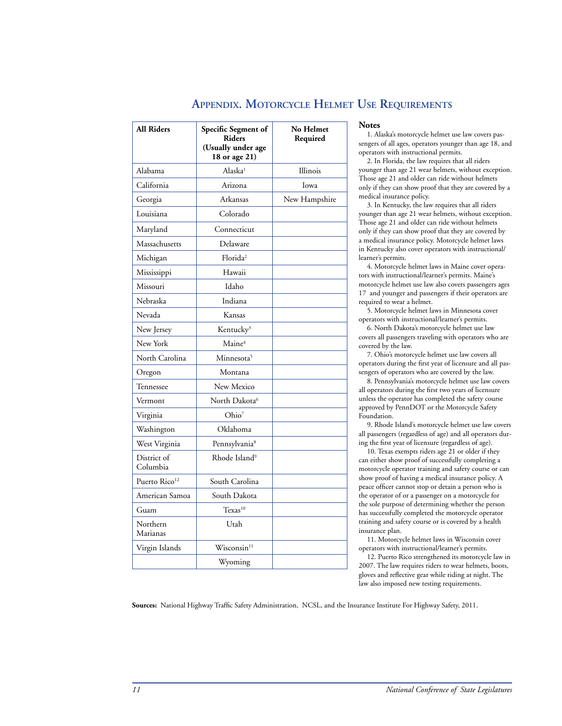| All Riders                | Specific Segment of<br><b>Riders</b><br>(Usually under age<br>18 or age 21) | No Helmet<br>Required |
|---------------------------|-----------------------------------------------------------------------------|-----------------------|
| Alabama                   | Alaska <sup>1</sup>                                                         | Illinois              |
| California                | Arizona                                                                     | Iowa                  |
| Georgia                   | Arkansas                                                                    | New Hampshire         |
| Louisiana                 | Colorado                                                                    |                       |
| Maryland                  | Connecticut                                                                 |                       |
| Massachusetts             | Delaware                                                                    |                       |
| Michigan                  | Florida <sup>2</sup>                                                        |                       |
| Mississippi               | Hawaii                                                                      |                       |
| Missouri                  | Idaho                                                                       |                       |
| Nebraska                  | Indiana                                                                     |                       |
| Nevada                    | Kansas                                                                      |                       |
| New Jersey                | Kentucky <sup>3</sup>                                                       |                       |
| New York                  | Maine <sup>4</sup>                                                          |                       |
| North Carolina            | Minnesota <sup>5</sup>                                                      |                       |
| Oregon                    | Montana                                                                     |                       |
| Tennessee                 | New Mexico                                                                  |                       |
| Vermont                   | North Dakota <sup>6</sup>                                                   |                       |
| Virginia                  | Ohio <sup>7</sup>                                                           |                       |
| Washington                | Oklahoma                                                                    |                       |
| West Virginia             | Pennsylvania <sup>8</sup>                                                   |                       |
| District of<br>Columbia   | Rhode Island <sup>9</sup>                                                   |                       |
| Puerto Rico <sup>12</sup> | South Carolina                                                              |                       |
| American Samoa            | South Dakota                                                                |                       |
| Guam                      | Texas <sup>10</sup>                                                         |                       |
| Northern<br>Marianas      | Utah                                                                        |                       |
| Virgin Islands            | $W$ isconsin $11$                                                           |                       |
|                           | Wyoming                                                                     |                       |

## **Appendix. Motorcycle Helmet Use Requirements**

#### **Notes**

1. Alaska's motorcycle helmet use law covers passengers of all ages, operators younger than age 18, and operators with instructional permits.

2. In Florida, the law requires that all riders younger than age 21 wear helmets, without exception. Those age 21 and older can ride without helmets only if they can show proof that they are covered by a medical insurance policy.

3. In Kentucky, the law requires that all riders younger than age 21 wear helmets, without exception. Those age 21 and older can ride without helmets only if they can show proof that they are covered by a medical insurance policy. Motorcycle helmet laws in Kentucky also cover operators with instructional/ learner's permits.

4. Motorcycle helmet laws in Maine cover operators with instructional/learner's permits. Maine's motorcycle helmet use law also covers passengers ages 17 and younger and passengers if their operators are required to wear a helmet.

5. Motorcycle helmet laws in Minnesota cover operators with instructional/learner's permits.

6. North Dakota's motorcycle helmet use law covers all passengers traveling with operators who are covered by the law.

7. Ohio's motorcycle helmet use law covers all operators during the first year of licensure and all passengers of operators who are covered by the law.

8. Pennsylvania's motorcycle helmet use law covers all operators during the first two years of licensure unless the operator has completed the safety course approved by PennDOT or the Motorcycle Safety Foundation.

9. Rhode Island's motorcycle helmet use law covers all passengers (regardless of age) and all operators during the first year of licensure (regardless of age).

10. Texas exempts riders age 21 or older if they can either show proof of successfully completing a motorcycle operator training and safety course or can show proof of having a medical insurance policy. A peace officer cannot stop or detain a person who is the operator of or a passenger on a motorcycle for the sole purpose of determining whether the person has successfully completed the motorcycle operator training and safety course or is covered by a health insurance plan.

11. Motorcycle helmet laws in Wisconsin cover operators with instructional/learner's permits.

12. Puerto Rico strengthened its motorcycle law in 2007. The law requires riders to wear helmets, boots, gloves and reflective gear while riding at night. The law also imposed new testing requirements.

**Sources:** National Highway Traffic Safety Administration, NCSL, and the Insurance Institute For Highway Safety, 2011.